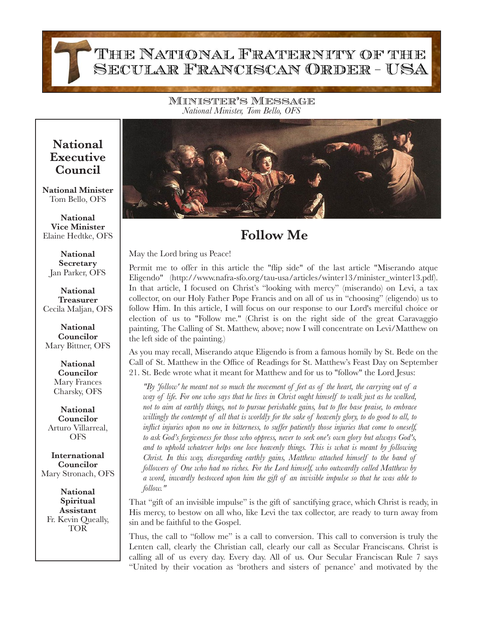Beloved Franciscan Family

Minister's Message *National Minister, Tom Bello, OFS*

## **National Executive Council**

FOLLOW ME

**National Minister** Tom Bello, OFS

**National Vice Minister** Elaine Hedtke, OFS

**National Secretary** Jan Parker, OFS

**National Treasurer** Cecila Maljan, OFS

**National Councilor** Mary Bittner, OFS

> **National Councilor** Mary Frances Charsky, OFS

**National Councilor** Arturo Villarreal, OFS

**International Councilor** Mary Stronach, OFS

**National Spiritual Assistant** Fr. Kevin Queally, TOR



## **Follow Me**

May the Lord bring us Peace!

Permit me to offer in this article the "flip side" of the last article "Miserando atque Eligendo" (http://www.nafra-sfo.org/tau-usa/articles/winter13/minister\_winter13.pdf). In that article, I focused on Christ's "looking with mercy" (miserando) on Levi, a tax collector, on our Holy Father Pope Francis and on all of us in "choosing" (eligendo) us to follow Him. In this article, I will focus on our response to our Lord's merciful choice or election of us to "Follow me." (Christ is on the right side of the great Caravaggio painting, The Calling of St. Matthew, above; now I will concentrate on Levi/Matthew on the left side of the painting.)

As you may recall, Miserando atque Eligendo is from a famous homily by St. Bede on the Call of St. Matthew in the Office of Readings for St. Matthew's Feast Day on September 21. St. Bede wrote what it meant for Matthew and for us to "follow" the Lord Jesus:

*"By 'follow' he meant not so much the movement of feet as of the heart, the carrying out of a way of life. For one who says that he lives in Christ ought himself to walk just as he walked, not to aim at earthly things, not to pursue perishable gains, but to flee base praise, to embrace willingly the contempt of all that is worldly for the sake of heavenly glory, to do good to all, to inflict injuries upon no one in bitterness, to suffer patiently those injuries that come to oneself, to ask God's forgiveness for those who oppress, never to seek one's own glory but always God's,*  and to uphold whatever helps one love heavenly things. This is what is meant by following *Christ. In this way, disregarding earthly gains, Matthew attached himself to the band of followers of One who had no riches. For the Lord himself, who outwardly called Matthew by a word, inwardly bestowed upon him the gift of an invisible impulse so that he was able to follow."* 

That "gift of an invisible impulse" is the gift of sanctifying grace, which Christ is ready, in His mercy, to bestow on all who, like Levi the tax collector, are ready to turn away from sin and be faithful to the Gospel.

Thus, the call to "follow me" is a call to conversion. This call to conversion is truly the Lenten call, clearly the Christian call, clearly our call as Secular Franciscans. Christ is calling all of us every day. Every day. All of us. Our Secular Franciscan Rule 7 says "United by their vocation as 'brothers and sisters of penance' and motivated by the